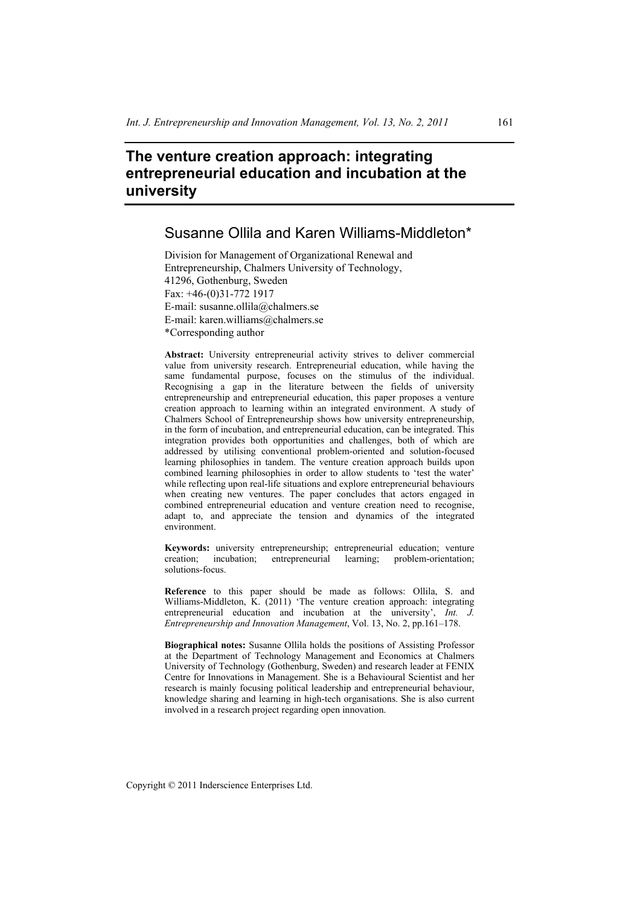# **The venture creation approach: integrating entrepreneurial education and incubation at the university**

# Susanne Ollila and Karen Williams-Middleton\*

Division for Management of Organizational Renewal and Entrepreneurship, Chalmers University of Technology, 41296, Gothenburg, Sweden Fax: +46-(0)31-772 1917 E-mail: susanne.ollila@chalmers.se E-mail: karen.williams@chalmers.se \*Corresponding author

**Abstract:** University entrepreneurial activity strives to deliver commercial value from university research. Entrepreneurial education, while having the same fundamental purpose, focuses on the stimulus of the individual. Recognising a gap in the literature between the fields of university entrepreneurship and entrepreneurial education, this paper proposes a venture creation approach to learning within an integrated environment. A study of Chalmers School of Entrepreneurship shows how university entrepreneurship, in the form of incubation, and entrepreneurial education, can be integrated. This integration provides both opportunities and challenges, both of which are addressed by utilising conventional problem-oriented and solution-focused learning philosophies in tandem. The venture creation approach builds upon combined learning philosophies in order to allow students to 'test the water' while reflecting upon real-life situations and explore entrepreneurial behaviours when creating new ventures. The paper concludes that actors engaged in combined entrepreneurial education and venture creation need to recognise, adapt to, and appreciate the tension and dynamics of the integrated environment.

**Keywords:** university entrepreneurship; entrepreneurial education; venture creation; incubation; entrepreneurial learning; problem-orientation; incubation; entrepreneurial learning; problem-orientation; solutions-focus.

**Reference** to this paper should be made as follows: Ollila, S. and Williams-Middleton, K. (2011) 'The venture creation approach: integrating entrepreneurial education and incubation at the university', *Int. J. Entrepreneurship and Innovation Management*, Vol. 13, No. 2, pp.161–178.

**Biographical notes:** Susanne Ollila holds the positions of Assisting Professor at the Department of Technology Management and Economics at Chalmers University of Technology (Gothenburg, Sweden) and research leader at FENIX Centre for Innovations in Management. She is a Behavioural Scientist and her research is mainly focusing political leadership and entrepreneurial behaviour, knowledge sharing and learning in high-tech organisations. She is also current involved in a research project regarding open innovation.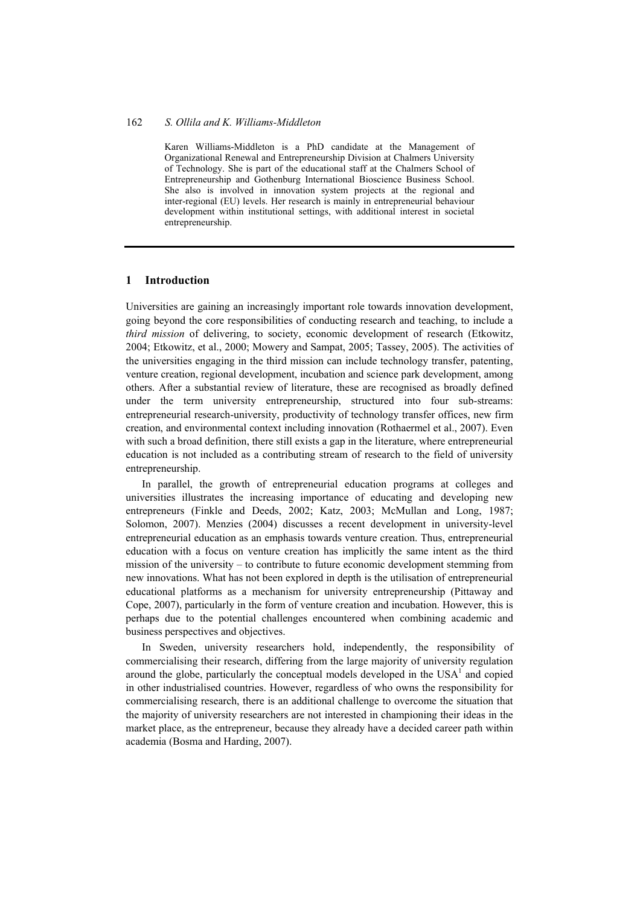Karen Williams-Middleton is a PhD candidate at the Management of Organizational Renewal and Entrepreneurship Division at Chalmers University of Technology. She is part of the educational staff at the Chalmers School of Entrepreneurship and Gothenburg International Bioscience Business School. She also is involved in innovation system projects at the regional and inter-regional (EU) levels. Her research is mainly in entrepreneurial behaviour development within institutional settings, with additional interest in societal entrepreneurship.

# **1 Introduction**

Universities are gaining an increasingly important role towards innovation development, going beyond the core responsibilities of conducting research and teaching, to include a *third mission* of delivering, to society, economic development of research (Etkowitz, 2004; Etkowitz, et al., 2000; Mowery and Sampat, 2005; Tassey, 2005). The activities of the universities engaging in the third mission can include technology transfer, patenting, venture creation, regional development, incubation and science park development, among others. After a substantial review of literature, these are recognised as broadly defined under the term university entrepreneurship, structured into four sub-streams: entrepreneurial research-university, productivity of technology transfer offices, new firm creation, and environmental context including innovation (Rothaermel et al., 2007). Even with such a broad definition, there still exists a gap in the literature, where entrepreneurial education is not included as a contributing stream of research to the field of university entrepreneurship.

In parallel, the growth of entrepreneurial education programs at colleges and universities illustrates the increasing importance of educating and developing new entrepreneurs (Finkle and Deeds, 2002; Katz, 2003; McMullan and Long, 1987; Solomon, 2007). Menzies (2004) discusses a recent development in university-level entrepreneurial education as an emphasis towards venture creation. Thus, entrepreneurial education with a focus on venture creation has implicitly the same intent as the third mission of the university – to contribute to future economic development stemming from new innovations. What has not been explored in depth is the utilisation of entrepreneurial educational platforms as a mechanism for university entrepreneurship (Pittaway and Cope, 2007), particularly in the form of venture creation and incubation. However, this is perhaps due to the potential challenges encountered when combining academic and business perspectives and objectives.

In Sweden, university researchers hold, independently, the responsibility of commercialising their research, differing from the large majority of university regulation around the globe, particularly the conceptual models developed in the  $USA<sup>1</sup>$  and copied in other industrialised countries. However, regardless of who owns the responsibility for commercialising research, there is an additional challenge to overcome the situation that the majority of university researchers are not interested in championing their ideas in the market place, as the entrepreneur, because they already have a decided career path within academia (Bosma and Harding, 2007).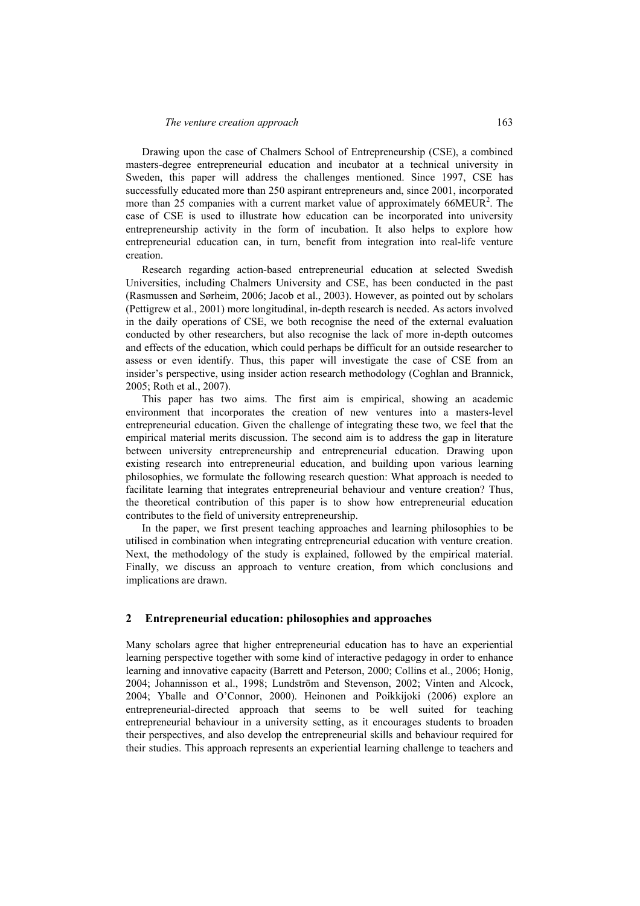# *The venture creation approach* 163

Drawing upon the case of Chalmers School of Entrepreneurship (CSE), a combined masters-degree entrepreneurial education and incubator at a technical university in Sweden, this paper will address the challenges mentioned. Since 1997, CSE has successfully educated more than 250 aspirant entrepreneurs and, since 2001, incorporated more than 25 companies with a current market value of approximately  $66$ MEUR<sup>2</sup>. The case of CSE is used to illustrate how education can be incorporated into university entrepreneurship activity in the form of incubation. It also helps to explore how entrepreneurial education can, in turn, benefit from integration into real-life venture creation.

Research regarding action-based entrepreneurial education at selected Swedish Universities, including Chalmers University and CSE, has been conducted in the past (Rasmussen and Sørheim, 2006; Jacob et al., 2003). However, as pointed out by scholars (Pettigrew et al., 2001) more longitudinal, in-depth research is needed. As actors involved in the daily operations of CSE, we both recognise the need of the external evaluation conducted by other researchers, but also recognise the lack of more in-depth outcomes and effects of the education, which could perhaps be difficult for an outside researcher to assess or even identify. Thus, this paper will investigate the case of CSE from an insider's perspective, using insider action research methodology (Coghlan and Brannick, 2005; Roth et al., 2007).

This paper has two aims. The first aim is empirical, showing an academic environment that incorporates the creation of new ventures into a masters-level entrepreneurial education. Given the challenge of integrating these two, we feel that the empirical material merits discussion. The second aim is to address the gap in literature between university entrepreneurship and entrepreneurial education. Drawing upon existing research into entrepreneurial education, and building upon various learning philosophies, we formulate the following research question: What approach is needed to facilitate learning that integrates entrepreneurial behaviour and venture creation? Thus, the theoretical contribution of this paper is to show how entrepreneurial education contributes to the field of university entrepreneurship.

In the paper, we first present teaching approaches and learning philosophies to be utilised in combination when integrating entrepreneurial education with venture creation. Next, the methodology of the study is explained, followed by the empirical material. Finally, we discuss an approach to venture creation, from which conclusions and implications are drawn.

# **2 Entrepreneurial education: philosophies and approaches**

Many scholars agree that higher entrepreneurial education has to have an experiential learning perspective together with some kind of interactive pedagogy in order to enhance learning and innovative capacity (Barrett and Peterson, 2000; Collins et al., 2006; Honig, 2004; Johannisson et al., 1998; Lundström and Stevenson, 2002; Vinten and Alcock, 2004; Yballe and O'Connor, 2000). Heinonen and Poikkijoki (2006) explore an entrepreneurial-directed approach that seems to be well suited for teaching entrepreneurial behaviour in a university setting, as it encourages students to broaden their perspectives, and also develop the entrepreneurial skills and behaviour required for their studies. This approach represents an experiential learning challenge to teachers and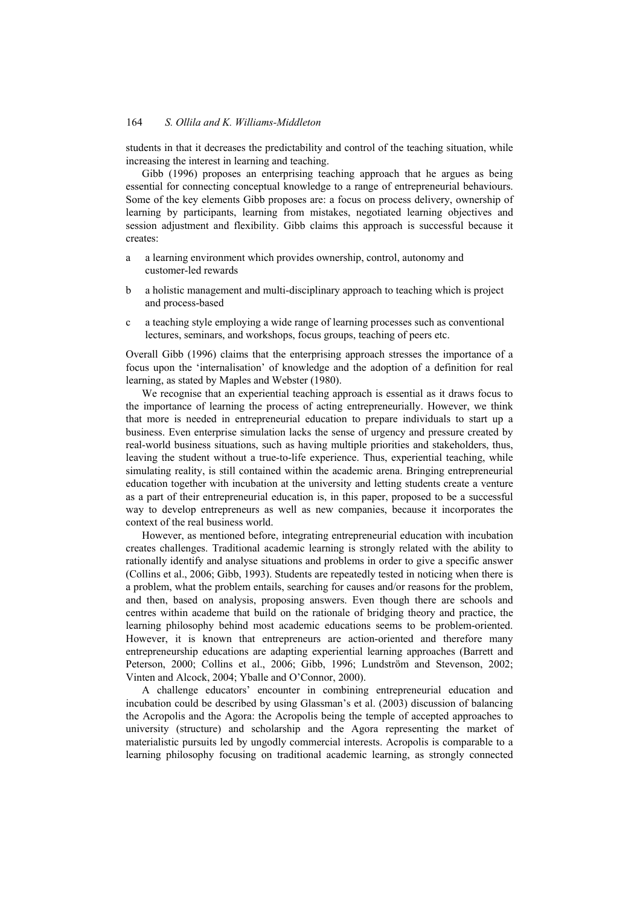students in that it decreases the predictability and control of the teaching situation, while increasing the interest in learning and teaching.

Gibb (1996) proposes an enterprising teaching approach that he argues as being essential for connecting conceptual knowledge to a range of entrepreneurial behaviours. Some of the key elements Gibb proposes are: a focus on process delivery, ownership of learning by participants, learning from mistakes, negotiated learning objectives and session adjustment and flexibility. Gibb claims this approach is successful because it creates:

- a a learning environment which provides ownership, control, autonomy and customer-led rewards
- b a holistic management and multi-disciplinary approach to teaching which is project and process-based
- c a teaching style employing a wide range of learning processes such as conventional lectures, seminars, and workshops, focus groups, teaching of peers etc.

Overall Gibb (1996) claims that the enterprising approach stresses the importance of a focus upon the 'internalisation' of knowledge and the adoption of a definition for real learning, as stated by Maples and Webster (1980).

We recognise that an experiential teaching approach is essential as it draws focus to the importance of learning the process of acting entrepreneurially. However, we think that more is needed in entrepreneurial education to prepare individuals to start up a business. Even enterprise simulation lacks the sense of urgency and pressure created by real-world business situations, such as having multiple priorities and stakeholders, thus, leaving the student without a true-to-life experience. Thus, experiential teaching, while simulating reality, is still contained within the academic arena. Bringing entrepreneurial education together with incubation at the university and letting students create a venture as a part of their entrepreneurial education is, in this paper, proposed to be a successful way to develop entrepreneurs as well as new companies, because it incorporates the context of the real business world.

However, as mentioned before, integrating entrepreneurial education with incubation creates challenges. Traditional academic learning is strongly related with the ability to rationally identify and analyse situations and problems in order to give a specific answer (Collins et al., 2006; Gibb, 1993). Students are repeatedly tested in noticing when there is a problem, what the problem entails, searching for causes and/or reasons for the problem, and then, based on analysis, proposing answers. Even though there are schools and centres within academe that build on the rationale of bridging theory and practice, the learning philosophy behind most academic educations seems to be problem-oriented. However, it is known that entrepreneurs are action-oriented and therefore many entrepreneurship educations are adapting experiential learning approaches (Barrett and Peterson, 2000; Collins et al., 2006; Gibb, 1996; Lundström and Stevenson, 2002; Vinten and Alcock, 2004; Yballe and O'Connor, 2000).

A challenge educators' encounter in combining entrepreneurial education and incubation could be described by using Glassman's et al. (2003) discussion of balancing the Acropolis and the Agora: the Acropolis being the temple of accepted approaches to university (structure) and scholarship and the Agora representing the market of materialistic pursuits led by ungodly commercial interests. Acropolis is comparable to a learning philosophy focusing on traditional academic learning, as strongly connected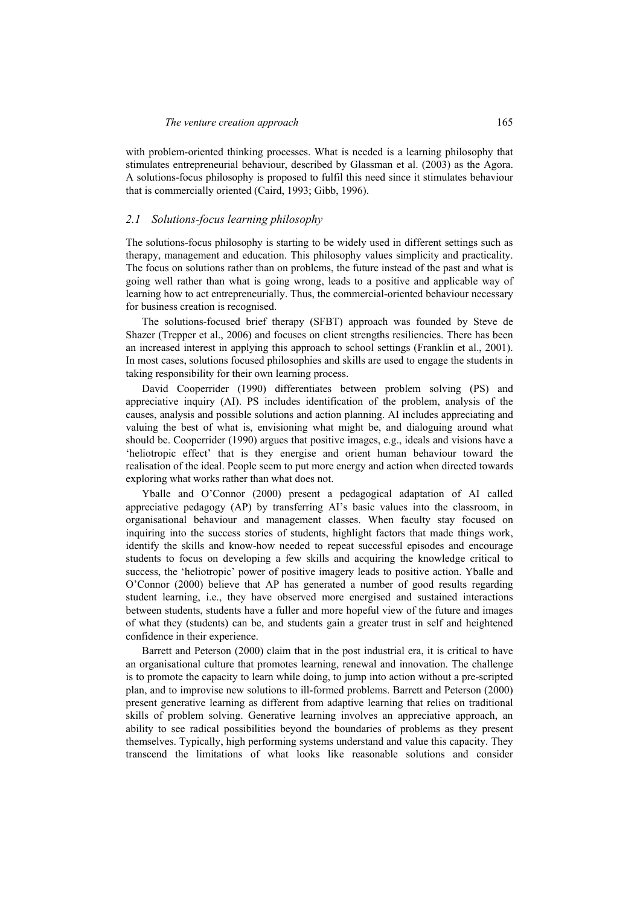with problem-oriented thinking processes. What is needed is a learning philosophy that stimulates entrepreneurial behaviour, described by Glassman et al. (2003) as the Agora. A solutions-focus philosophy is proposed to fulfil this need since it stimulates behaviour that is commercially oriented (Caird, 1993; Gibb, 1996).

# *2.1 Solutions-focus learning philosophy*

The solutions-focus philosophy is starting to be widely used in different settings such as therapy, management and education. This philosophy values simplicity and practicality. The focus on solutions rather than on problems, the future instead of the past and what is going well rather than what is going wrong, leads to a positive and applicable way of learning how to act entrepreneurially. Thus, the commercial-oriented behaviour necessary for business creation is recognised.

The solutions-focused brief therapy (SFBT) approach was founded by Steve de Shazer (Trepper et al., 2006) and focuses on client strengths resiliencies. There has been an increased interest in applying this approach to school settings (Franklin et al., 2001). In most cases, solutions focused philosophies and skills are used to engage the students in taking responsibility for their own learning process.

David Cooperrider (1990) differentiates between problem solving (PS) and appreciative inquiry (AI). PS includes identification of the problem, analysis of the causes, analysis and possible solutions and action planning. AI includes appreciating and valuing the best of what is, envisioning what might be, and dialoguing around what should be. Cooperrider (1990) argues that positive images, e.g., ideals and visions have a 'heliotropic effect' that is they energise and orient human behaviour toward the realisation of the ideal. People seem to put more energy and action when directed towards exploring what works rather than what does not.

Yballe and O'Connor (2000) present a pedagogical adaptation of AI called appreciative pedagogy (AP) by transferring AI's basic values into the classroom, in organisational behaviour and management classes. When faculty stay focused on inquiring into the success stories of students, highlight factors that made things work, identify the skills and know-how needed to repeat successful episodes and encourage students to focus on developing a few skills and acquiring the knowledge critical to success, the 'heliotropic' power of positive imagery leads to positive action. Yballe and O'Connor (2000) believe that AP has generated a number of good results regarding student learning, i.e., they have observed more energised and sustained interactions between students, students have a fuller and more hopeful view of the future and images of what they (students) can be, and students gain a greater trust in self and heightened confidence in their experience.

Barrett and Peterson (2000) claim that in the post industrial era, it is critical to have an organisational culture that promotes learning, renewal and innovation. The challenge is to promote the capacity to learn while doing, to jump into action without a pre-scripted plan, and to improvise new solutions to ill-formed problems. Barrett and Peterson (2000) present generative learning as different from adaptive learning that relies on traditional skills of problem solving. Generative learning involves an appreciative approach, an ability to see radical possibilities beyond the boundaries of problems as they present themselves. Typically, high performing systems understand and value this capacity. They transcend the limitations of what looks like reasonable solutions and consider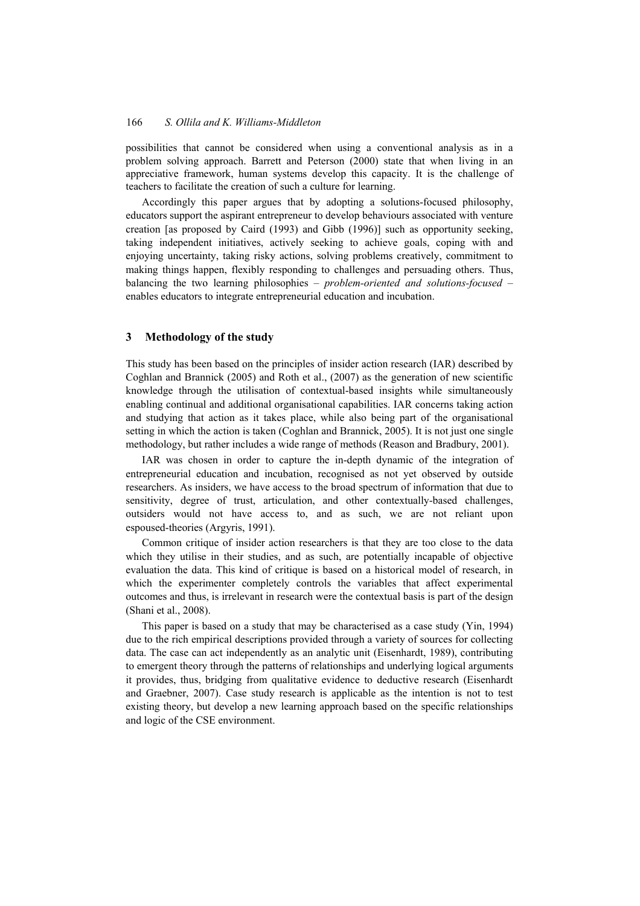possibilities that cannot be considered when using a conventional analysis as in a problem solving approach. Barrett and Peterson (2000) state that when living in an appreciative framework, human systems develop this capacity. It is the challenge of teachers to facilitate the creation of such a culture for learning.

Accordingly this paper argues that by adopting a solutions-focused philosophy, educators support the aspirant entrepreneur to develop behaviours associated with venture creation [as proposed by Caird (1993) and Gibb (1996)] such as opportunity seeking, taking independent initiatives, actively seeking to achieve goals, coping with and enjoying uncertainty, taking risky actions, solving problems creatively, commitment to making things happen, flexibly responding to challenges and persuading others. Thus, balancing the two learning philosophies – *problem-oriented and solutions-focused* – enables educators to integrate entrepreneurial education and incubation.

# **3 Methodology of the study**

This study has been based on the principles of insider action research (IAR) described by Coghlan and Brannick (2005) and Roth et al., (2007) as the generation of new scientific knowledge through the utilisation of contextual-based insights while simultaneously enabling continual and additional organisational capabilities. IAR concerns taking action and studying that action as it takes place, while also being part of the organisational setting in which the action is taken (Coghlan and Brannick, 2005). It is not just one single methodology, but rather includes a wide range of methods (Reason and Bradbury, 2001).

IAR was chosen in order to capture the in-depth dynamic of the integration of entrepreneurial education and incubation, recognised as not yet observed by outside researchers. As insiders, we have access to the broad spectrum of information that due to sensitivity, degree of trust, articulation, and other contextually-based challenges, outsiders would not have access to, and as such, we are not reliant upon espoused-theories (Argyris, 1991).

Common critique of insider action researchers is that they are too close to the data which they utilise in their studies, and as such, are potentially incapable of objective evaluation the data. This kind of critique is based on a historical model of research, in which the experimenter completely controls the variables that affect experimental outcomes and thus, is irrelevant in research were the contextual basis is part of the design (Shani et al., 2008).

This paper is based on a study that may be characterised as a case study (Yin, 1994) due to the rich empirical descriptions provided through a variety of sources for collecting data. The case can act independently as an analytic unit (Eisenhardt, 1989), contributing to emergent theory through the patterns of relationships and underlying logical arguments it provides, thus, bridging from qualitative evidence to deductive research (Eisenhardt and Graebner, 2007). Case study research is applicable as the intention is not to test existing theory, but develop a new learning approach based on the specific relationships and logic of the CSE environment.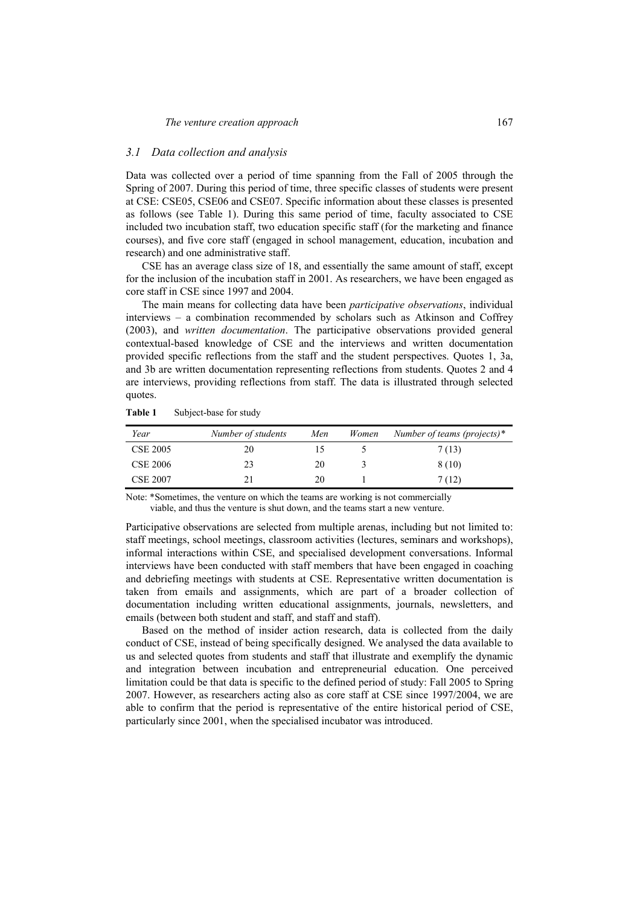#### *3.1 Data collection and analysis*

Data was collected over a period of time spanning from the Fall of 2005 through the Spring of 2007. During this period of time, three specific classes of students were present at CSE: CSE05, CSE06 and CSE07. Specific information about these classes is presented as follows (see Table 1). During this same period of time, faculty associated to CSE included two incubation staff, two education specific staff (for the marketing and finance courses), and five core staff (engaged in school management, education, incubation and research) and one administrative staff.

CSE has an average class size of 18, and essentially the same amount of staff, except for the inclusion of the incubation staff in 2001. As researchers, we have been engaged as core staff in CSE since 1997 and 2004.

The main means for collecting data have been *participative observations*, individual interviews – a combination recommended by scholars such as Atkinson and Coffrey (2003), and *written documentation*. The participative observations provided general contextual-based knowledge of CSE and the interviews and written documentation provided specific reflections from the staff and the student perspectives. Quotes 1, 3a, and 3b are written documentation representing reflections from students. Quotes 2 and 4 are interviews, providing reflections from staff. The data is illustrated through selected quotes.

| Year            | Number of students | Men | Women | Number of teams (projects)* |
|-----------------|--------------------|-----|-------|-----------------------------|
| <b>CSE 2005</b> | 20                 | ר ו |       | 7(13)                       |
| <b>CSE 2006</b> | 23                 | 20  |       | 8 (10)                      |

 $CSE\ 2007$  21 20 1 7 (12)

Table 1 Subject-base for study

Note: \*Sometimes, the venture on which the teams are working is not commercially viable, and thus the venture is shut down, and the teams start a new venture.

Participative observations are selected from multiple arenas, including but not limited to: staff meetings, school meetings, classroom activities (lectures, seminars and workshops), informal interactions within CSE, and specialised development conversations. Informal interviews have been conducted with staff members that have been engaged in coaching and debriefing meetings with students at CSE. Representative written documentation is taken from emails and assignments, which are part of a broader collection of documentation including written educational assignments, journals, newsletters, and emails (between both student and staff, and staff and staff).

Based on the method of insider action research, data is collected from the daily conduct of CSE, instead of being specifically designed. We analysed the data available to us and selected quotes from students and staff that illustrate and exemplify the dynamic and integration between incubation and entrepreneurial education. One perceived limitation could be that data is specific to the defined period of study: Fall 2005 to Spring 2007. However, as researchers acting also as core staff at CSE since 1997/2004, we are able to confirm that the period is representative of the entire historical period of CSE, particularly since 2001, when the specialised incubator was introduced.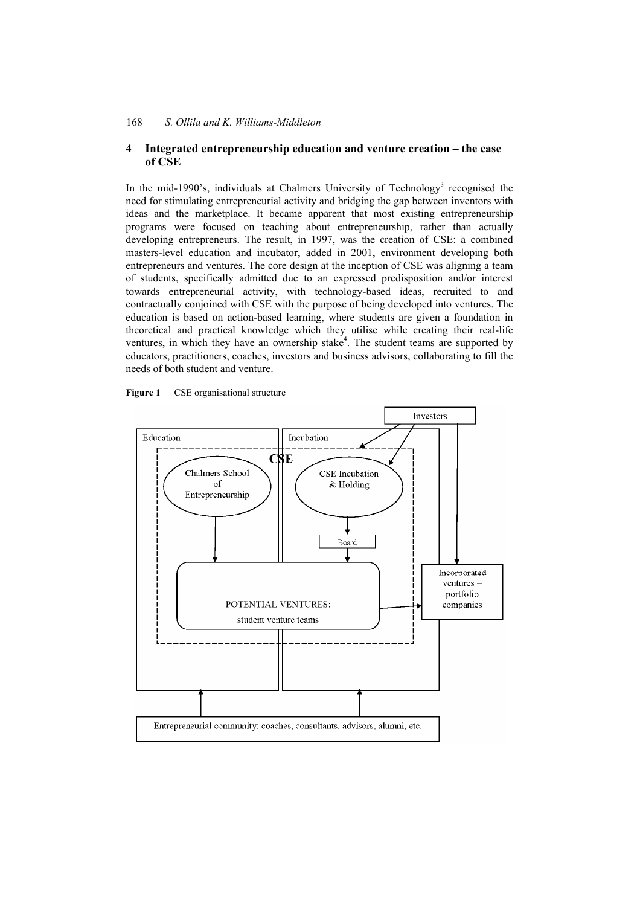# **4 Integrated entrepreneurship education and venture creation – the case of CSE**

In the mid-1990's, individuals at Chalmers University of Technology<sup>3</sup> recognised the need for stimulating entrepreneurial activity and bridging the gap between inventors with ideas and the marketplace. It became apparent that most existing entrepreneurship programs were focused on teaching about entrepreneurship, rather than actually developing entrepreneurs. The result, in 1997, was the creation of CSE: a combined masters-level education and incubator, added in 2001, environment developing both entrepreneurs and ventures. The core design at the inception of CSE was aligning a team of students, specifically admitted due to an expressed predisposition and/or interest towards entrepreneurial activity, with technology-based ideas, recruited to and contractually conjoined with CSE with the purpose of being developed into ventures. The education is based on action-based learning, where students are given a foundation in theoretical and practical knowledge which they utilise while creating their real-life ventures, in which they have an ownership stake<sup>4</sup>. The student teams are supported by educators, practitioners, coaches, investors and business advisors, collaborating to fill the needs of both student and venture.

**Figure 1** CSE organisational structure

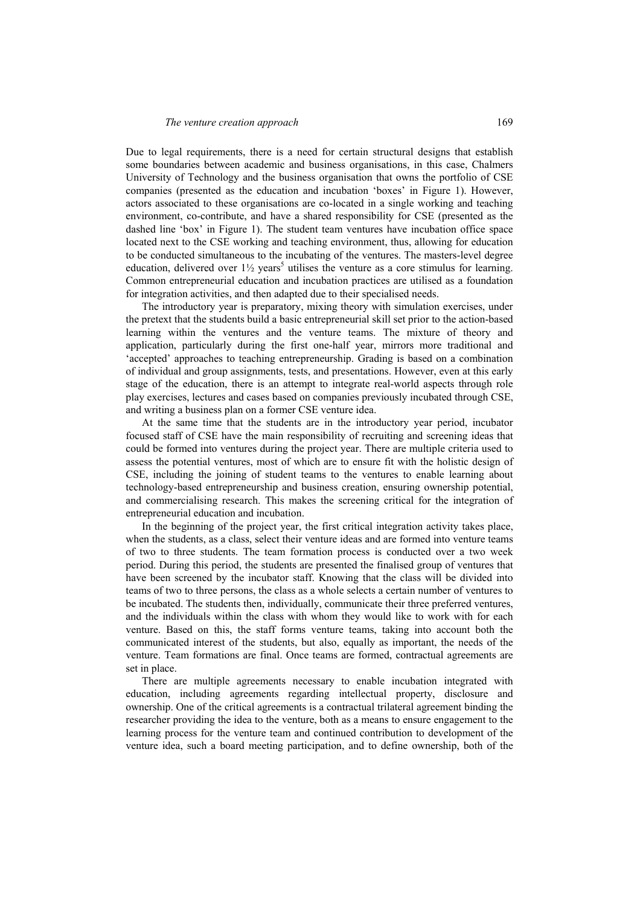Due to legal requirements, there is a need for certain structural designs that establish some boundaries between academic and business organisations, in this case, Chalmers University of Technology and the business organisation that owns the portfolio of CSE companies (presented as the education and incubation 'boxes' in Figure 1). However, actors associated to these organisations are co-located in a single working and teaching environment, co-contribute, and have a shared responsibility for CSE (presented as the dashed line 'box' in Figure 1). The student team ventures have incubation office space located next to the CSE working and teaching environment, thus, allowing for education to be conducted simultaneous to the incubating of the ventures. The masters-level degree education, delivered over  $1\frac{1}{2}$  years<sup>5</sup> utilises the venture as a core stimulus for learning. Common entrepreneurial education and incubation practices are utilised as a foundation for integration activities, and then adapted due to their specialised needs.

The introductory year is preparatory, mixing theory with simulation exercises, under the pretext that the students build a basic entrepreneurial skill set prior to the action-based learning within the ventures and the venture teams. The mixture of theory and application, particularly during the first one-half year, mirrors more traditional and 'accepted' approaches to teaching entrepreneurship. Grading is based on a combination of individual and group assignments, tests, and presentations. However, even at this early stage of the education, there is an attempt to integrate real-world aspects through role play exercises, lectures and cases based on companies previously incubated through CSE, and writing a business plan on a former CSE venture idea.

At the same time that the students are in the introductory year period, incubator focused staff of CSE have the main responsibility of recruiting and screening ideas that could be formed into ventures during the project year. There are multiple criteria used to assess the potential ventures, most of which are to ensure fit with the holistic design of CSE, including the joining of student teams to the ventures to enable learning about technology-based entrepreneurship and business creation, ensuring ownership potential, and commercialising research. This makes the screening critical for the integration of entrepreneurial education and incubation.

In the beginning of the project year, the first critical integration activity takes place, when the students, as a class, select their venture ideas and are formed into venture teams of two to three students. The team formation process is conducted over a two week period. During this period, the students are presented the finalised group of ventures that have been screened by the incubator staff. Knowing that the class will be divided into teams of two to three persons, the class as a whole selects a certain number of ventures to be incubated. The students then, individually, communicate their three preferred ventures, and the individuals within the class with whom they would like to work with for each venture. Based on this, the staff forms venture teams, taking into account both the communicated interest of the students, but also, equally as important, the needs of the venture. Team formations are final. Once teams are formed, contractual agreements are set in place.

There are multiple agreements necessary to enable incubation integrated with education, including agreements regarding intellectual property, disclosure and ownership. One of the critical agreements is a contractual trilateral agreement binding the researcher providing the idea to the venture, both as a means to ensure engagement to the learning process for the venture team and continued contribution to development of the venture idea, such a board meeting participation, and to define ownership, both of the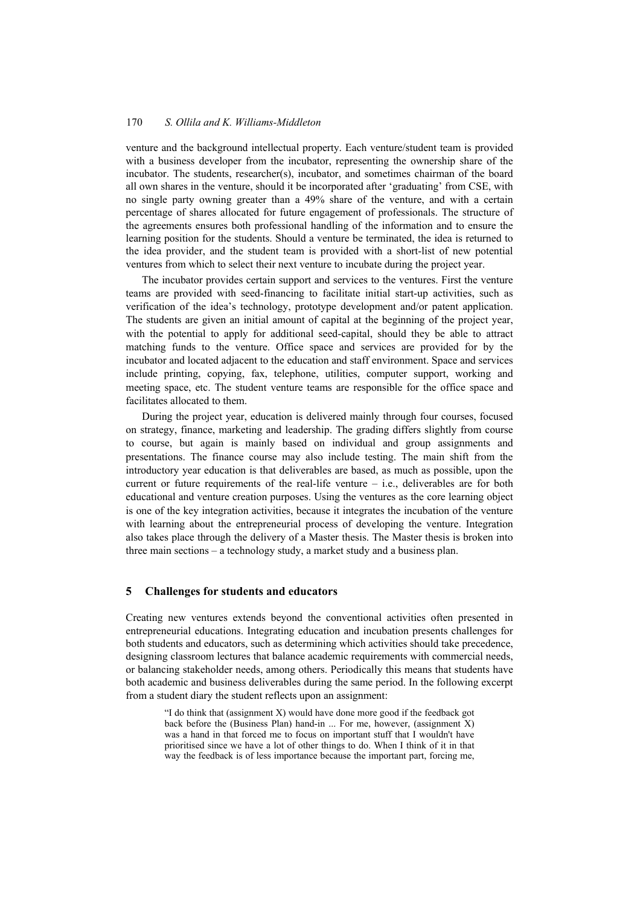venture and the background intellectual property. Each venture/student team is provided with a business developer from the incubator, representing the ownership share of the incubator. The students, researcher(s), incubator, and sometimes chairman of the board all own shares in the venture, should it be incorporated after 'graduating' from CSE, with no single party owning greater than a 49% share of the venture, and with a certain percentage of shares allocated for future engagement of professionals. The structure of the agreements ensures both professional handling of the information and to ensure the learning position for the students. Should a venture be terminated, the idea is returned to the idea provider, and the student team is provided with a short-list of new potential ventures from which to select their next venture to incubate during the project year.

The incubator provides certain support and services to the ventures. First the venture teams are provided with seed-financing to facilitate initial start-up activities, such as verification of the idea's technology, prototype development and/or patent application. The students are given an initial amount of capital at the beginning of the project year, with the potential to apply for additional seed-capital, should they be able to attract matching funds to the venture. Office space and services are provided for by the incubator and located adjacent to the education and staff environment. Space and services include printing, copying, fax, telephone, utilities, computer support, working and meeting space, etc. The student venture teams are responsible for the office space and facilitates allocated to them.

During the project year, education is delivered mainly through four courses, focused on strategy, finance, marketing and leadership. The grading differs slightly from course to course, but again is mainly based on individual and group assignments and presentations. The finance course may also include testing. The main shift from the introductory year education is that deliverables are based, as much as possible, upon the current or future requirements of the real-life venture  $-$  i.e., deliverables are for both educational and venture creation purposes. Using the ventures as the core learning object is one of the key integration activities, because it integrates the incubation of the venture with learning about the entrepreneurial process of developing the venture. Integration also takes place through the delivery of a Master thesis. The Master thesis is broken into three main sections – a technology study, a market study and a business plan.

### **5 Challenges for students and educators**

Creating new ventures extends beyond the conventional activities often presented in entrepreneurial educations. Integrating education and incubation presents challenges for both students and educators, such as determining which activities should take precedence, designing classroom lectures that balance academic requirements with commercial needs, or balancing stakeholder needs, among others. Periodically this means that students have both academic and business deliverables during the same period. In the following excerpt from a student diary the student reflects upon an assignment:

> "I do think that (assignment X) would have done more good if the feedback got back before the (Business Plan) hand-in ... For me, however, (assignment X) was a hand in that forced me to focus on important stuff that I wouldn't have prioritised since we have a lot of other things to do. When I think of it in that way the feedback is of less importance because the important part, forcing me,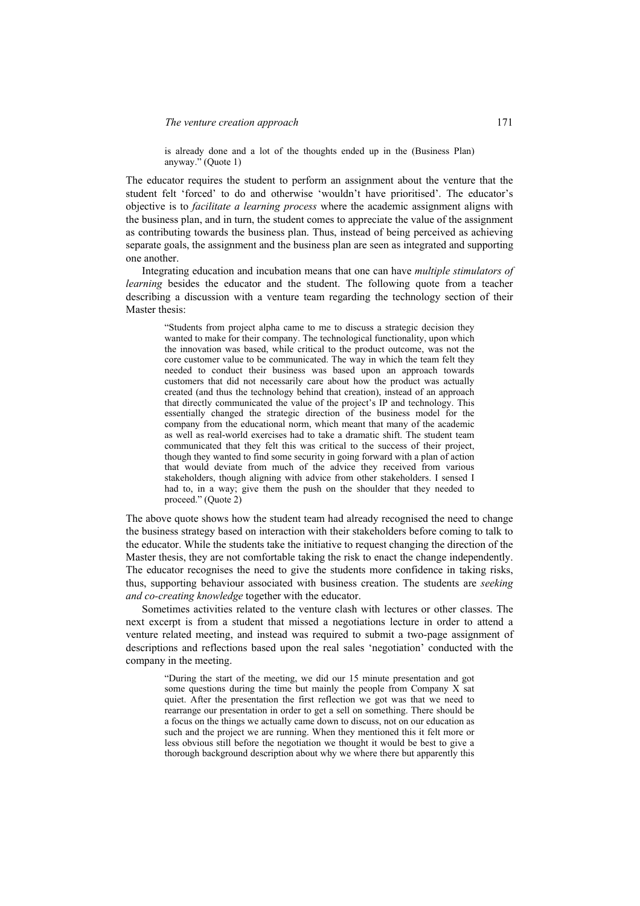is already done and a lot of the thoughts ended up in the (Business Plan) anyway."  $(Quote 1)$ 

The educator requires the student to perform an assignment about the venture that the student felt 'forced' to do and otherwise 'wouldn't have prioritised'. The educator's objective is to *facilitate a learning process* where the academic assignment aligns with the business plan, and in turn, the student comes to appreciate the value of the assignment as contributing towards the business plan. Thus, instead of being perceived as achieving separate goals, the assignment and the business plan are seen as integrated and supporting one another.

Integrating education and incubation means that one can have *multiple stimulators of learning* besides the educator and the student. The following quote from a teacher describing a discussion with a venture team regarding the technology section of their Master thesis:

"Students from project alpha came to me to discuss a strategic decision they wanted to make for their company. The technological functionality, upon which the innovation was based, while critical to the product outcome, was not the core customer value to be communicated. The way in which the team felt they needed to conduct their business was based upon an approach towards customers that did not necessarily care about how the product was actually created (and thus the technology behind that creation), instead of an approach that directly communicated the value of the project's IP and technology. This essentially changed the strategic direction of the business model for the company from the educational norm, which meant that many of the academic as well as real-world exercises had to take a dramatic shift. The student team communicated that they felt this was critical to the success of their project, though they wanted to find some security in going forward with a plan of action that would deviate from much of the advice they received from various stakeholders, though aligning with advice from other stakeholders. I sensed I had to, in a way; give them the push on the shoulder that they needed to proceed." (Quote 2)

The above quote shows how the student team had already recognised the need to change the business strategy based on interaction with their stakeholders before coming to talk to the educator. While the students take the initiative to request changing the direction of the Master thesis, they are not comfortable taking the risk to enact the change independently. The educator recognises the need to give the students more confidence in taking risks, thus, supporting behaviour associated with business creation. The students are *seeking and co-creating knowledge* together with the educator.

Sometimes activities related to the venture clash with lectures or other classes. The next excerpt is from a student that missed a negotiations lecture in order to attend a venture related meeting, and instead was required to submit a two-page assignment of descriptions and reflections based upon the real sales 'negotiation' conducted with the company in the meeting.

"During the start of the meeting, we did our 15 minute presentation and got some questions during the time but mainly the people from Company X sat quiet. After the presentation the first reflection we got was that we need to rearrange our presentation in order to get a sell on something. There should be a focus on the things we actually came down to discuss, not on our education as such and the project we are running. When they mentioned this it felt more or less obvious still before the negotiation we thought it would be best to give a thorough background description about why we where there but apparently this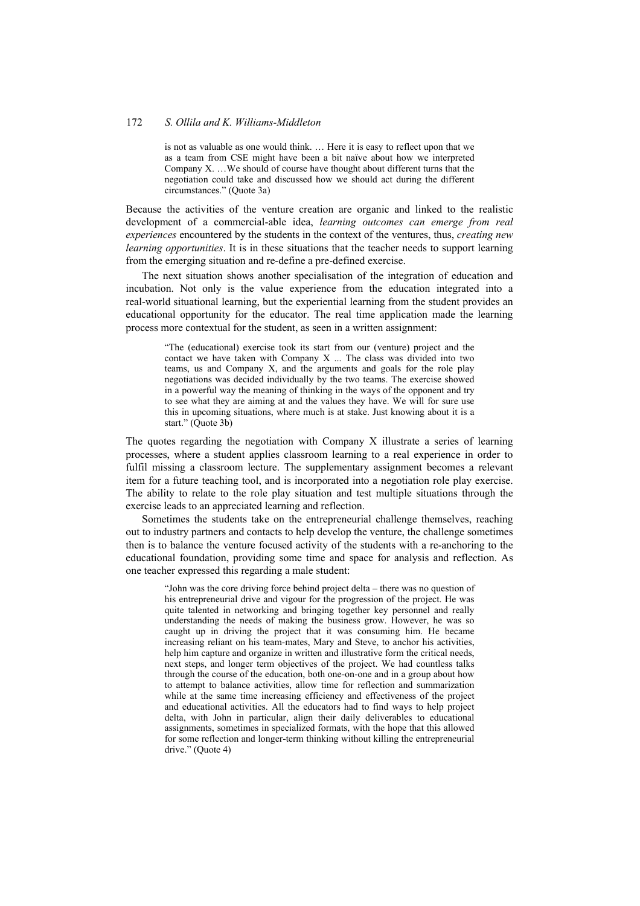is not as valuable as one would think. … Here it is easy to reflect upon that we as a team from CSE might have been a bit naïve about how we interpreted Company X. …We should of course have thought about different turns that the negotiation could take and discussed how we should act during the different circumstances." (Quote 3a)

Because the activities of the venture creation are organic and linked to the realistic development of a commercial-able idea, *learning outcomes can emerge from real experiences* encountered by the students in the context of the ventures, thus, *creating new learning opportunities*. It is in these situations that the teacher needs to support learning from the emerging situation and re-define a pre-defined exercise.

The next situation shows another specialisation of the integration of education and incubation. Not only is the value experience from the education integrated into a real-world situational learning, but the experiential learning from the student provides an educational opportunity for the educator. The real time application made the learning process more contextual for the student, as seen in a written assignment:

> "The (educational) exercise took its start from our (venture) project and the contact we have taken with Company X ... The class was divided into two teams, us and Company X, and the arguments and goals for the role play negotiations was decided individually by the two teams. The exercise showed in a powerful way the meaning of thinking in the ways of the opponent and try to see what they are aiming at and the values they have. We will for sure use this in upcoming situations, where much is at stake. Just knowing about it is a start." (Quote 3b)

The quotes regarding the negotiation with Company X illustrate a series of learning processes, where a student applies classroom learning to a real experience in order to fulfil missing a classroom lecture. The supplementary assignment becomes a relevant item for a future teaching tool, and is incorporated into a negotiation role play exercise. The ability to relate to the role play situation and test multiple situations through the exercise leads to an appreciated learning and reflection.

Sometimes the students take on the entrepreneurial challenge themselves, reaching out to industry partners and contacts to help develop the venture, the challenge sometimes then is to balance the venture focused activity of the students with a re-anchoring to the educational foundation, providing some time and space for analysis and reflection. As one teacher expressed this regarding a male student:

"John was the core driving force behind project delta – there was no question of his entrepreneurial drive and vigour for the progression of the project. He was quite talented in networking and bringing together key personnel and really understanding the needs of making the business grow. However, he was so caught up in driving the project that it was consuming him. He became increasing reliant on his team-mates, Mary and Steve, to anchor his activities, help him capture and organize in written and illustrative form the critical needs, next steps, and longer term objectives of the project. We had countless talks through the course of the education, both one-on-one and in a group about how to attempt to balance activities, allow time for reflection and summarization while at the same time increasing efficiency and effectiveness of the project and educational activities. All the educators had to find ways to help project delta, with John in particular, align their daily deliverables to educational assignments, sometimes in specialized formats, with the hope that this allowed for some reflection and longer-term thinking without killing the entrepreneurial drive." (Quote 4)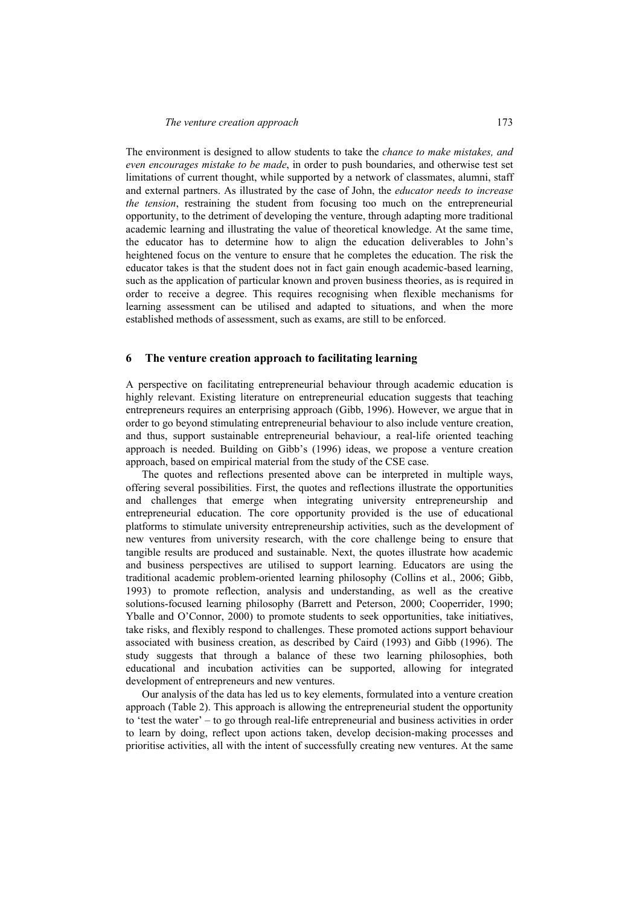The environment is designed to allow students to take the *chance to make mistakes, and even encourages mistake to be made*, in order to push boundaries, and otherwise test set limitations of current thought, while supported by a network of classmates, alumni, staff and external partners. As illustrated by the case of John, the *educator needs to increase the tension*, restraining the student from focusing too much on the entrepreneurial opportunity, to the detriment of developing the venture, through adapting more traditional academic learning and illustrating the value of theoretical knowledge. At the same time, the educator has to determine how to align the education deliverables to John's heightened focus on the venture to ensure that he completes the education. The risk the educator takes is that the student does not in fact gain enough academic-based learning, such as the application of particular known and proven business theories, as is required in order to receive a degree. This requires recognising when flexible mechanisms for learning assessment can be utilised and adapted to situations, and when the more established methods of assessment, such as exams, are still to be enforced.

# **6 The venture creation approach to facilitating learning**

A perspective on facilitating entrepreneurial behaviour through academic education is highly relevant. Existing literature on entrepreneurial education suggests that teaching entrepreneurs requires an enterprising approach (Gibb, 1996). However, we argue that in order to go beyond stimulating entrepreneurial behaviour to also include venture creation, and thus, support sustainable entrepreneurial behaviour, a real-life oriented teaching approach is needed. Building on Gibb's (1996) ideas, we propose a venture creation approach, based on empirical material from the study of the CSE case.

The quotes and reflections presented above can be interpreted in multiple ways, offering several possibilities. First, the quotes and reflections illustrate the opportunities and challenges that emerge when integrating university entrepreneurship and entrepreneurial education. The core opportunity provided is the use of educational platforms to stimulate university entrepreneurship activities, such as the development of new ventures from university research, with the core challenge being to ensure that tangible results are produced and sustainable. Next, the quotes illustrate how academic and business perspectives are utilised to support learning. Educators are using the traditional academic problem-oriented learning philosophy (Collins et al., 2006; Gibb, 1993) to promote reflection, analysis and understanding, as well as the creative solutions-focused learning philosophy (Barrett and Peterson, 2000; Cooperrider, 1990; Yballe and O'Connor, 2000) to promote students to seek opportunities, take initiatives, take risks, and flexibly respond to challenges. These promoted actions support behaviour associated with business creation, as described by Caird (1993) and Gibb (1996). The study suggests that through a balance of these two learning philosophies, both educational and incubation activities can be supported, allowing for integrated development of entrepreneurs and new ventures.

Our analysis of the data has led us to key elements, formulated into a venture creation approach (Table 2). This approach is allowing the entrepreneurial student the opportunity to 'test the water' – to go through real-life entrepreneurial and business activities in order to learn by doing, reflect upon actions taken, develop decision-making processes and prioritise activities, all with the intent of successfully creating new ventures. At the same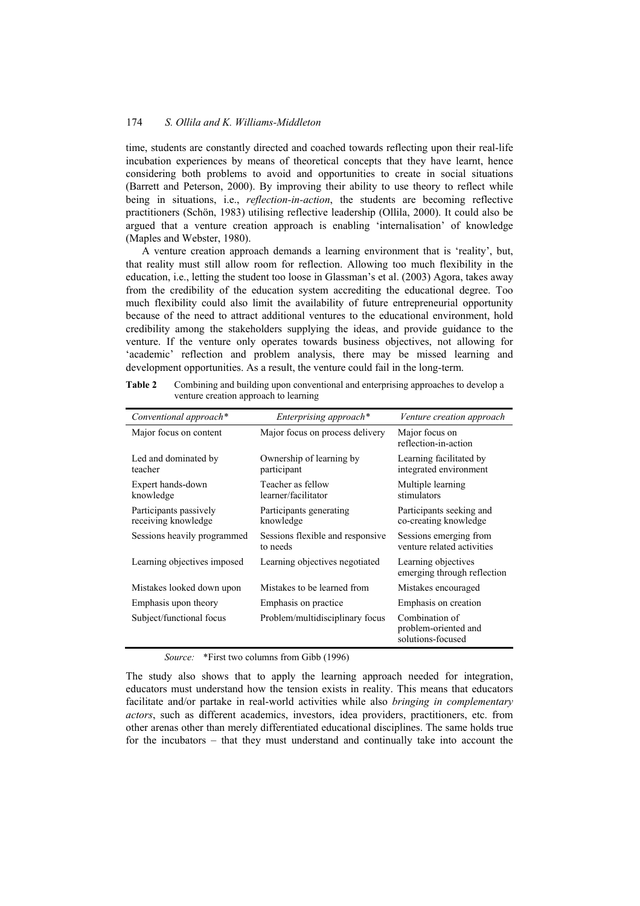time, students are constantly directed and coached towards reflecting upon their real-life incubation experiences by means of theoretical concepts that they have learnt, hence considering both problems to avoid and opportunities to create in social situations (Barrett and Peterson, 2000). By improving their ability to use theory to reflect while being in situations, i.e., *reflection-in-action*, the students are becoming reflective practitioners (Schön, 1983) utilising reflective leadership (Ollila, 2000). It could also be argued that a venture creation approach is enabling 'internalisation' of knowledge (Maples and Webster, 1980).

A venture creation approach demands a learning environment that is 'reality', but, that reality must still allow room for reflection. Allowing too much flexibility in the education, i.e., letting the student too loose in Glassman's et al. (2003) Agora, takes away from the credibility of the education system accrediting the educational degree. Too much flexibility could also limit the availability of future entrepreneurial opportunity because of the need to attract additional ventures to the educational environment, hold credibility among the stakeholders supplying the ideas, and provide guidance to the venture. If the venture only operates towards business objectives, not allowing for 'academic' reflection and problem analysis, there may be missed learning and development opportunities. As a result, the venture could fail in the long-term.

| Table 2 | Combining and building upon conventional and enterprising approaches to develop a |
|---------|-----------------------------------------------------------------------------------|
|         | venture creation approach to learning                                             |

| Conventional approach*                        | Enterprising approach*                       | Venture creation approach                                   |
|-----------------------------------------------|----------------------------------------------|-------------------------------------------------------------|
| Major focus on content                        | Major focus on process delivery              | Major focus on<br>reflection-in-action                      |
| Led and dominated by<br>teacher               | Ownership of learning by<br>participant      | Learning facilitated by<br>integrated environment           |
| Expert hands-down<br>knowledge                | Teacher as fellow<br>learner/facilitator     | Multiple learning<br>stimulators                            |
| Participants passively<br>receiving knowledge | Participants generating<br>knowledge         | Participants seeking and<br>co-creating knowledge           |
| Sessions heavily programmed                   | Sessions flexible and responsive<br>to needs | Sessions emerging from<br>venture related activities        |
| Learning objectives imposed                   | Learning objectives negotiated               | Learning objectives<br>emerging through reflection          |
| Mistakes looked down upon                     | Mistakes to be learned from                  | Mistakes encouraged                                         |
| Emphasis upon theory                          | Emphasis on practice.                        | Emphasis on creation                                        |
| Subject/functional focus                      | Problem/multidisciplinary focus              | Combination of<br>problem-oriented and<br>solutions-focused |

*Source:* \*First two columns from Gibb (1996)

The study also shows that to apply the learning approach needed for integration, educators must understand how the tension exists in reality. This means that educators facilitate and/or partake in real-world activities while also *bringing in complementary actors*, such as different academics, investors, idea providers, practitioners, etc. from other arenas other than merely differentiated educational disciplines. The same holds true for the incubators – that they must understand and continually take into account the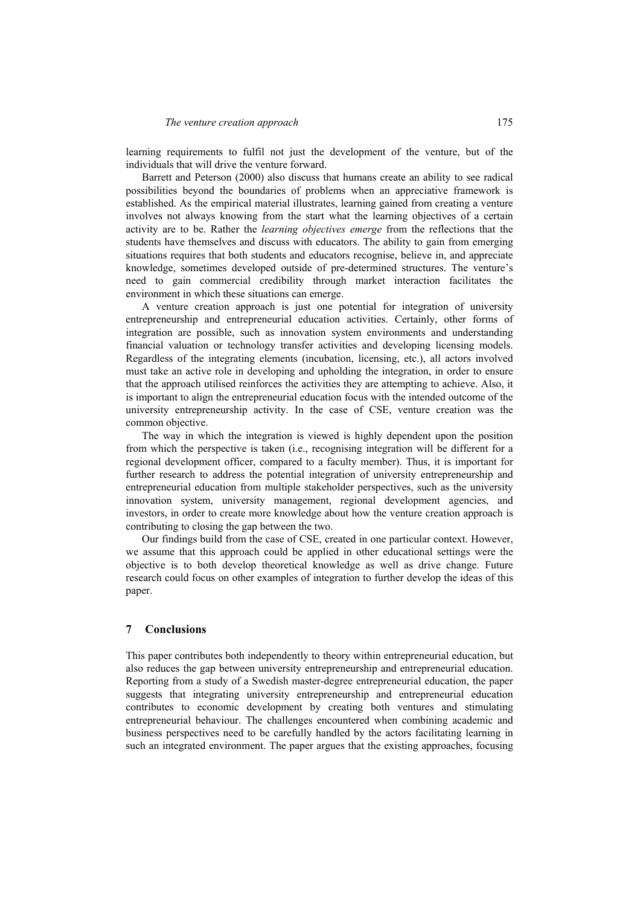learning requirements to fulfil not just the development of the venture, but of the individuals that will drive the venture forward.

Barrett and Peterson (2000) also discuss that humans create an ability to see radical possibilities beyond the boundaries of problems when an appreciative framework is established. As the empirical material illustrates, learning gained from creating a venture involves not always knowing from the start what the learning objectives of a certain activity are to be. Rather the *learning objectives emerge* from the reflections that the students have themselves and discuss with educators. The ability to gain from emerging situations requires that both students and educators recognise, believe in, and appreciate knowledge, sometimes developed outside of pre-determined structures. The venture's need to gain commercial credibility through market interaction facilitates the environment in which these situations can emerge.

A venture creation approach is just one potential for integration of university entrepreneurship and entrepreneurial education activities. Certainly, other forms of integration are possible, such as innovation system environments and understanding financial valuation or technology transfer activities and developing licensing models. Regardless of the integrating elements (incubation, licensing, etc.), all actors involved must take an active role in developing and upholding the integration, in order to ensure that the approach utilised reinforces the activities they are attempting to achieve. Also, it is important to align the entrepreneurial education focus with the intended outcome of the university entrepreneurship activity. In the case of CSE, venture creation was the common objective.

The way in which the integration is viewed is highly dependent upon the position from which the perspective is taken (i.e., recognising integration will be different for a regional development officer, compared to a faculty member). Thus, it is important for further research to address the potential integration of university entrepreneurship and entrepreneurial education from multiple stakeholder perspectives, such as the university innovation system, university management, regional development agencies, and investors, in order to create more knowledge about how the venture creation approach is contributing to closing the gap between the two.

Our findings build from the case of CSE, created in one particular context. However, we assume that this approach could be applied in other educational settings were the objective is to both develop theoretical knowledge as well as drive change. Future research could focus on other examples of integration to further develop the ideas of this paper.

# **7 Conclusions**

This paper contributes both independently to theory within entrepreneurial education, but also reduces the gap between university entrepreneurship and entrepreneurial education. Reporting from a study of a Swedish master-degree entrepreneurial education, the paper suggests that integrating university entrepreneurship and entrepreneurial education contributes to economic development by creating both ventures and stimulating entrepreneurial behaviour. The challenges encountered when combining academic and business perspectives need to be carefully handled by the actors facilitating learning in such an integrated environment. The paper argues that the existing approaches, focusing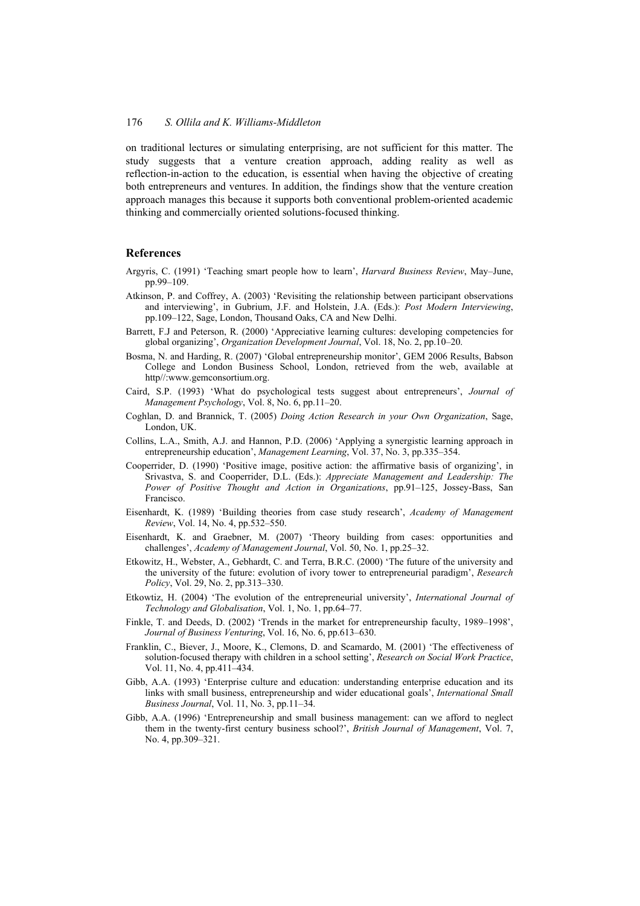on traditional lectures or simulating enterprising, are not sufficient for this matter. The study suggests that a venture creation approach, adding reality as well as reflection-in-action to the education, is essential when having the objective of creating both entrepreneurs and ventures. In addition, the findings show that the venture creation approach manages this because it supports both conventional problem-oriented academic thinking and commercially oriented solutions-focused thinking.

# **References**

- Argyris, C. (1991) 'Teaching smart people how to learn', *Harvard Business Review*, May–June, pp.99–109.
- Atkinson, P. and Coffrey, A. (2003) 'Revisiting the relationship between participant observations and interviewing', in Gubrium, J.F. and Holstein, J.A. (Eds.): *Post Modern Interviewing*, pp.109–122, Sage, London, Thousand Oaks, CA and New Delhi.
- Barrett, F.J and Peterson, R. (2000) 'Appreciative learning cultures: developing competencies for global organizing', *Organization Development Journal*, Vol. 18, No. 2, pp.10–20.
- Bosma, N. and Harding, R. (2007) 'Global entrepreneurship monitor', GEM 2006 Results, Babson College and London Business School, London, retrieved from the web, available at http//:www.gemconsortium.org.
- Caird, S.P. (1993) 'What do psychological tests suggest about entrepreneurs', *Journal of Management Psychology*, Vol. 8, No. 6, pp.11–20.
- Coghlan, D. and Brannick, T. (2005) *Doing Action Research in your Own Organization*, Sage, London, UK.
- Collins, L.A., Smith, A.J. and Hannon, P.D. (2006) 'Applying a synergistic learning approach in entrepreneurship education', *Management Learning*, Vol. 37, No. 3, pp.335–354.
- Cooperrider, D. (1990) 'Positive image, positive action: the affirmative basis of organizing', in Srivastva, S. and Cooperrider, D.L. (Eds.): *Appreciate Management and Leadership: The Power of Positive Thought and Action in Organizations*, pp.91–125, Jossey-Bass, San Francisco.
- Eisenhardt, K. (1989) 'Building theories from case study research', *Academy of Management Review*, Vol. 14, No. 4, pp.532–550.
- Eisenhardt, K. and Graebner, M. (2007) 'Theory building from cases: opportunities and challenges', *Academy of Management Journal*, Vol. 50, No. 1, pp.25–32.
- Etkowitz, H., Webster, A., Gebhardt, C. and Terra, B.R.C. (2000) 'The future of the university and the university of the future: evolution of ivory tower to entrepreneurial paradigm', *Research Policy*, Vol. 29, No. 2, pp.313–330.
- Etkowtiz, H. (2004) 'The evolution of the entrepreneurial university', *International Journal of Technology and Globalisation*, Vol. 1, No. 1, pp.64–77.
- Finkle, T. and Deeds, D. (2002) 'Trends in the market for entrepreneurship faculty, 1989–1998', *Journal of Business Venturing*, Vol. 16, No. 6, pp.613–630.
- Franklin, C., Biever, J., Moore, K., Clemons, D. and Scamardo, M. (2001) 'The effectiveness of solution-focused therapy with children in a school setting', *Research on Social Work Practice*, Vol. 11, No. 4, pp.411–434.
- Gibb, A.A. (1993) 'Enterprise culture and education: understanding enterprise education and its links with small business, entrepreneurship and wider educational goals', *International Small Business Journal*, Vol. 11, No. 3, pp.11–34.
- Gibb, A.A. (1996) 'Entrepreneurship and small business management: can we afford to neglect them in the twenty-first century business school?', *British Journal of Management*, Vol. 7, No. 4, pp.309–321.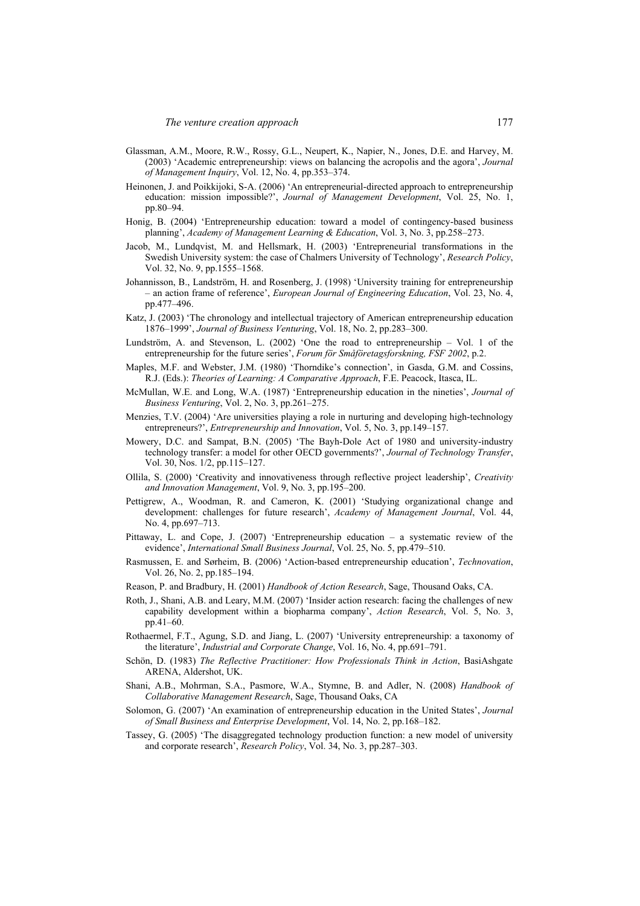- Glassman, A.M., Moore, R.W., Rossy, G.L., Neupert, K., Napier, N., Jones, D.E. and Harvey, M. (2003) 'Academic entrepreneurship: views on balancing the acropolis and the agora', *Journal of Management Inquiry*, Vol. 12, No. 4, pp.353–374.
- Heinonen, J. and Poikkijoki, S-A. (2006) 'An entrepreneurial-directed approach to entrepreneurship education: mission impossible?', *Journal of Management Development*, Vol. 25, No. 1, pp.80–94.
- Honig, B. (2004) 'Entrepreneurship education: toward a model of contingency-based business planning', *Academy of Management Learning & Education*, Vol. 3, No. 3, pp.258–273.
- Jacob, M., Lundqvist, M. and Hellsmark, H. (2003) 'Entrepreneurial transformations in the Swedish University system: the case of Chalmers University of Technology', *Research Policy*, Vol. 32, No. 9, pp.1555–1568.
- Johannisson, B., Landström, H. and Rosenberg, J. (1998) 'University training for entrepreneurship – an action frame of reference', *European Journal of Engineering Education*, Vol. 23, No. 4, pp.477–496.
- Katz, J. (2003) 'The chronology and intellectual trajectory of American entrepreneurship education 1876–1999', *Journal of Business Venturing*, Vol. 18, No. 2, pp.283–300.
- Lundström, A. and Stevenson, L. (2002) 'One the road to entrepreneurship Vol. 1 of the entrepreneurship for the future series', *Forum för Småföretagsforskning, FSF 2002*, p.2.
- Maples, M.F. and Webster, J.M. (1980) 'Thorndike's connection', in Gasda, G.M. and Cossins, R.J. (Eds.): *Theories of Learning: A Comparative Approach*, F.E. Peacock, Itasca, IL.
- McMullan, W.E. and Long, W.A. (1987) 'Entrepreneurship education in the nineties', *Journal of Business Venturing*, Vol. 2, No. 3, pp.261–275.
- Menzies, T.V. (2004) 'Are universities playing a role in nurturing and developing high-technology entrepreneurs?', *Entrepreneurship and Innovation*, Vol. 5, No. 3, pp.149–157.
- Mowery, D.C. and Sampat, B.N. (2005) 'The Bayh-Dole Act of 1980 and university-industry technology transfer: a model for other OECD governments?', *Journal of Technology Transfer*, Vol. 30, Nos. 1/2, pp.115–127.
- Ollila, S. (2000) 'Creativity and innovativeness through reflective project leadership', *Creativity and Innovation Management*, Vol. 9, No. 3, pp.195–200.
- Pettigrew, A., Woodman, R. and Cameron, K. (2001) 'Studying organizational change and development: challenges for future research', *Academy of Management Journal*, Vol. 44, No. 4, pp.697–713.
- Pittaway, L. and Cope, J. (2007) 'Entrepreneurship education a systematic review of the evidence', *International Small Business Journal*, Vol. 25, No. 5, pp.479–510.
- Rasmussen, E. and Sørheim, B. (2006) 'Action-based entrepreneurship education', *Technovation*, Vol. 26, No. 2, pp.185–194.
- Reason, P. and Bradbury, H. (2001) *Handbook of Action Research*, Sage, Thousand Oaks, CA.
- Roth, J., Shani, A.B. and Leary, M.M. (2007) 'Insider action research: facing the challenges of new capability development within a biopharma company', *Action Research*, Vol. 5, No. 3, pp.41–60.
- Rothaermel, F.T., Agung, S.D. and Jiang, L. (2007) 'University entrepreneurship: a taxonomy of the literature', *Industrial and Corporate Change*, Vol. 16, No. 4, pp.691–791.
- Schön, D. (1983) *The Reflective Practitioner: How Professionals Think in Action*, BasiAshgate ARENA, Aldershot, UK.
- Shani, A.B., Mohrman, S.A., Pasmore, W.A., Stymne, B. and Adler, N. (2008) *Handbook of Collaborative Management Research*, Sage, Thousand Oaks, CA
- Solomon, G. (2007) 'An examination of entrepreneurship education in the United States', *Journal of Small Business and Enterprise Development*, Vol. 14, No. 2, pp.168–182.
- Tassey, G. (2005) 'The disaggregated technology production function: a new model of university and corporate research', *Research Policy*, Vol. 34, No. 3, pp.287–303.